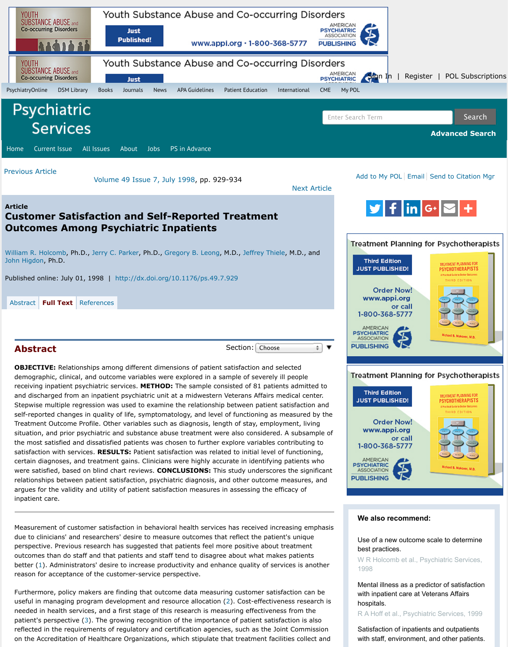[William R. Holcomb, Ph.D., Jerry C. Parker, Ph.D., Gregory B. Leong, M.D., Jeffrey Thiele, M.D., and](http://web.checkm8.com/adam/em/click/2047353/cat=35025/uhook=D667953E21E3/criterias=32_0_34_7_43_3_103_36_104_7_111_9_116_225_117_225006_118_1_120_4000000195_122_4225006195_280_15_282_0_283_1_6142_16_) John Higdon, Ph.D.

Published online: July 01, 1998 | http://dx.doi.org/10.1176/ps.49.7.929

Abstract **Full Text** [References](http://web.checkm8.com/adam/em/click/2047353/cat=35025/uhook=D667953E21E3/criterias=32_0_34_7_43_3_103_36_104_7_111_9_116_225_117_225006_118_1_120_4000000195_122_4225006195_280_15_282_0_283_1_6142_16_)

Abstract Section: Choose **Abstract** Section: Choose

**OBJECTIVE:** Relationships among different dimensions of patient satisfaction and selected demographic, clinical, and outc[ome varia](http://ps.psychiatryonline.org/about)bles w[ere explored in a](http://ps.psychiatryonline.org/inAdvance) sample of severely ill people [rece](http://ps.psychiatryonline.org/)[iving inpatient p](http://ps.psychiatryonline.org/current)[sychiatric se](http://ps.psychiatryonline.org/loi/ps)rvices. [METHO](http://ps.psychiatryonline.org/ps_jobs)D: The sample consisted of 81 patients admitted and discharged from an inpatient psychiatric unit at a midwestern Veterans Affairs medical cente [Stepwise multi](http://ps.psychiatryonline.org/doi/10.1176/ps.49.7.925)ple regression was used to examine the relationship between patient satisfaction and self-reported changes in [quality of life, symptomatology, a](http://ps.psychiatryonline.org/toc/ps/49/7)nd level of functioning as measured by Treatment Outcome Profile. Other variables such as diagnosis, length of stay, employm[ent, living](http://ps.psychiatryonline.org/doi/10.1176/ps.49.7.935) situation, and prior psychiatric and substance abuse treatment were also considered. A subsamp the most satisfied and dissatisfied patients was chosen to further explore variables contributing t satisfaction with services. **RESULTS:** Patient satisfaction was related to initial level of functioning, certain diagnoses, and treatment gains. Clinicians were highly accurate in identifying patients wh were satisfied, based on blind chart reviews. **CONCLUSIONS:** This study underscores the signifi relationships between patient satisfaction, psychiatric diagnosis, and other outcome measures, and [argues for the va](http://ps.psychiatryonline.org/author/Holcomb%2C+William+R)lidity a[nd utility of pati](http://ps.psychiatryonline.org/author/Parker%2C+Jerry+C)ent sati[sfaction measures](http://ps.psychiatryonline.org/author/Leong%2C+Gregory+B) in ass[essing the effic](http://ps.psychiatryonline.org/author/Thiele%2C+Jeffrey)acy of [inpatient](http://ps.psychiatryonline.org/author/Higdon%2C+John) care.

Measurement of customer satisfaction in behavioral health services has received increasing emp [due to c](http://ps.psychiatryonline.org/doi/abs/10.1176/ps.49.7.929)[linicians' an](http://ps.psychiatryonline.org/doi/full/10.1176/ps.49.7.929)[d researchers](http://ps.psychiatryonline.org/doi/ref/10.1176/ps.49.7.929)' desire to measure outcomes that reflect the patient's unique perspective. Previous research has suggested that patients feel more positive about treatment outcomes than do staff and that patients and staff tend to disagree about what makes patients better (1). Administrators' desire to increase productivity and enhance quality of services is anot reason for acceptance of the customer-service perspective.

Furthermore, policy makers are finding that outcome data measuring customer satisfaction can b useful in managing program development and resource allocation (2). Cost-effectiveness researd needed in health services, and a first stage of this research is measuring effectiveness from the patient's perspective  $(3)$ . The growing recognition of the importance of patient satisfaction is also reflected in the requirements of regulatory and certification agencies, such as the Joint Commiss on the Accreditation of Healthcare Organizations, which stipulate that treatment facilities collect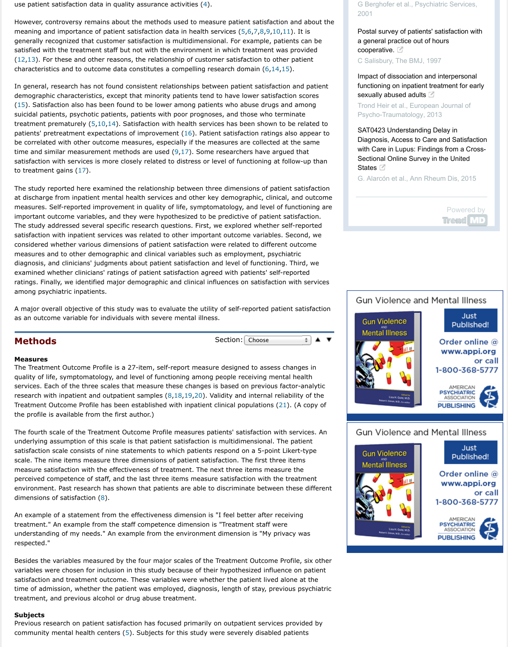satisfaction with inpatient services was related to other imp[or](javascript:popRef()tant outcome variables. Second, we considered whether various dimensions of patient satisfaction were related to different outcome measures and to other demographic and clinical variables such as employment, psychiatric diagnosis, and clinicians' judgments about patient satisfaction and level [o](javascript:popRef()[f f](javascript:popRef()[u](javascript:popRef()[nc](javascript:popRef()[tio](javascript:popRef()[nin](javascript:popRef()[g. T](javascript:popRef()hird, we examined whether clinicians' ratings of patient satisfaction agreed with patients' self-reported ratings. Finally, we identified major demographic and clinical influences on satisfaction with servi [am](javascript:popRef()[ong](javascript:popRef() psychiatric inpatients.

A major overall objective of this study was to evaluate the utility of self-report[ed](javascript:popRef() [pat](javascript:popRef()[ien](javascript:popRef()t satisfaction. as an outcome variable for individuals with severe mental illness.

**[Me](javascript:popRef()thods** Section: Choose ÷

### **Measures**

The Treatment Outcome Profile is a 27-item, self-rep[ort m](javascript:popRef()easure designed to assess changes in quality of life, symptomatology, and level of functioning among people receiving mental health servic[es](javascript:popRef(). Each of the three scales that measure thes[e ch](javascript:popRef()anges is based on previous factor-analy research with inpatient and outpatient samples  $(8,18,19,20)$ . Validity and internal reliability of the Treatment Outcome [Pro](javascript:popRef()file has been established with inpatient clinical populations  $(21)$ . (A copy the profile is available from the first author.)

The fourth scale of the Treatment Outcome Profile measures patients' satisfaction with services. An underlying assumption of this scale is that patient satisfaction is multidimensional. The patient satisfaction scale consists of nine statements to which patients respond on a 5-point Likert-type scale. The nine items measure three dimensions of patient satisfaction. The first three items measure satisfaction with the effectiveness of treatment. The next three items measure the perceived competence of staff, and the last three items measure satisfaction with the treatment environment. Past research has shown that patients are able to discriminate between these differentient dimensions of satisfaction (8).

An example of a statement from the effectiveness dimension is "I feel better after receiving treatment." An example from the staff competence dimension is "Treatment staff were understanding of my needs." An example from the environment dimension is "My privacy was respected."

Besides the variables measured by the four major scales of the Treatment Outcome Profile, six o variables were chosen for inclusion in [t](http://ps.psychiatryonline.org/doi/full/10.1176/ps.49.7.929#_i5)his study because of their hypothesized influence on patie satisfaction and treatment outcome. These variables were whether the patient lived alone at the time of admission, whether the patient was employed, diagnosis, length of stay, previous psychiation treatment, and previous alcohol or drug abuse treatment.

### **Subjects**

Previous research on patient satisfaction has focused primarily on outpatient services provided b community mental health centers (5). Subjects [fo](javascript:popRef()[r th](javascript:popRef()[is s](javascript:popRef()[tud](javascript:popRef()y were severely disable[d p](javascript:popRef()atients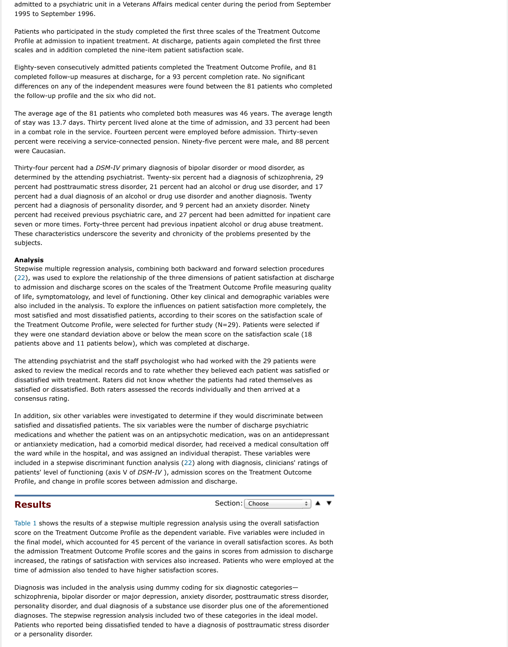These characteristics underscore the severity and chronicity of the problems presented by the subjects.

## **Analysis**

Stepwise multiple regression analysis, combining both backward and forward selection procedure  $(22)$ , was used to explore the relationship of the three dimensions of patient satisfaction at discharge to admission and discharge scores on the scales of the Treatment Outcome Profile measuring qu of life, symptomatology, and level of functioning. Other key clinical and demographic variables w also included in the analysis. To explore the influences on patient satisfaction more completely, t most satisfied and most dissatisfied patients, according to their scores on the satisfaction scale of the Treatment Outcome Profile, were selected for further study (N=29). Patients were selected if they were one standard deviation above or below the mean score on the satisfaction scale (18 patients above and 11 patients below), which was completed at discharge.

The attending psychiatrist and the staff psychologist who had worked with the 29 patients were asked to review the medical records and to rate whether they believed each patient was satisfied dissatisfied with treatment. Raters did not know whether the patients had rated themselves as satisfied or dissatisfied. Both raters assessed the records individually and then arrived at a consensus rating.

In addition, six other variables were investigated to determine if they would discriminate betwee satisfied and dissatisfied patients. The six variables were the number of discharge psychiatric medications and whether the patient was on an antipsychotic medication, was on an antidepress or antianxiety medication, had a comorbid medical disorder, had received a medical consultation the ward while in the hospital, and was assigned an individual therapist. These variables were included in a stepwise discriminant function analysis (22) along with diagnosis, clinicians' ratings patients' level of functioning (axis V of *DSM-IV* ), admission scores on the Treatment Outcome Profile, and change in profile scores between admission and discharge.

**[Re](javascript:popRef()sults** Section: Choose ÷.

Table 1 shows the results of a stepwise multiple regression analysis using the overall satisfaction score on the Treatment Outcome Profile as the dependent variable. Five variables were included the final model, which accounted for 45 percent of the variance in overall satisfaction scores. As the admission Treatment Outcome Profile scores and the gains in scores from admission to disch increased, the ratings of satisfaction with services also increased. Patients who were employed a time of admission also tended to have higher satisfaction scores.

Diagnosis was included in the analysis using dummy coding for six diagnostic categories schizophrenia, bipolar disorder or major depression, anxiety disorder, posttraumatic stress disord personality disorder, and dual diagnosis of a substance use disorder plus one of the aforemention diagnoses. The stepwise regression analysis included two of these categories in the ideal model. Patients who reported being dissatisfied tended to have a diagnosis of posttraumatic stress disor or a personality disorder.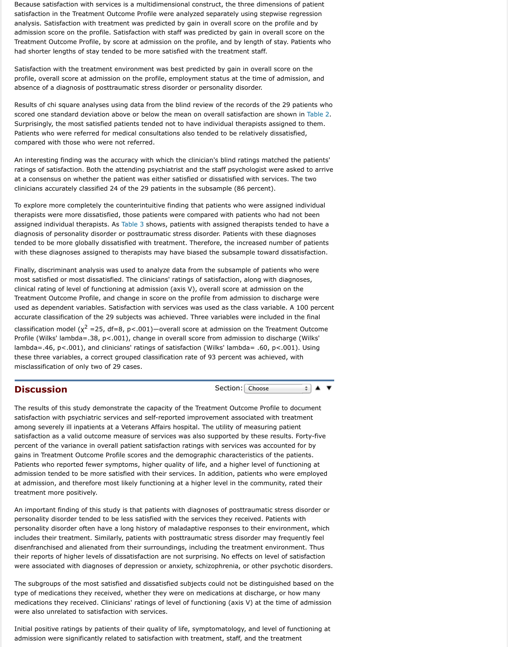diagnosis of personality disorder or posttraumatic stress disorder. Patients with these diagnoses tended to be more globally dissatisfied with treatment. Therefore, the increased number of patie with these diagnoses assigned to therapists may have biased the subsample toward dissatisfaction.

Finally, discriminant analysis was used to analyze data from the subsample of patients who were most satisfied or most dissatisfied. The clinicians' ratings of satisfaction, along with diagnoses, clinical rating of level of functioning at admission (axis V), overall score at admission on the Treatment Outcome Profile, and change in score on the profile from admission to discharge were used as dependent variables. Satisfaction with services was used as the class variable. A 100 pe accurate classification of the 29 subjects was achieved. Three variables were included in the final classification model ( $\chi^2$  =25, df=8, p<.001)—overall score at admission on the Treatment Outco Profile (Wilks' lambda=.38, p<.001), change in overall score from admission to discharge (Wilks'

lambda=.46, p<.001), and clinicians' ratings of satisfaction (Wilks' lambda= .60, p<.001). [Using](javascript:popRef() these three variables, a correct grouped classification rate of 93 percent was achieved, with misclassification of only two of 29 cases.

# **Discussion** Section: Choose

÷.

The results of this study demonstrate the capacity of the Treatment Outcome Profile to document satisfaction with psychiatric services and self-reported improvement associated with treatment among severely ill inpatients at a Veterans Affairs hospital. The utility of measuring patient satisfaction as a valid outcome measure of services was also supported by these results. Forty-fi percent of the variance in overall patient satisfaction ratings with services was accounted for by gains in Treatment Outcome Profi[le score](javascript:popRef()s and the demographic characteristics of the patients. Patients who reported fewer symptoms, higher quality of life, and a higher level of functioning at admission tended to be more satisfied with their services. In addition, patients who were employ at admission, and therefore most likely functioning at a higher level in the community, rated the treatment more positively.

An important finding of this study is that patients with diagnoses of posttraumatic stress disorde personality disorder tended to be less satisfied with the services they received. Patients with personality disorder often have a long history of maladaptive responses to their environment, wh includes their treatment. Similarly, patients with posttraumatic stress disorder may frequently fe disenfranchised and alienated from their surroundings, including the treatment environment. The their reports of higher levels of dissatisfaction are not surprising. No effects on level of satisfaction were associated with diagnoses of depression or anxiety, schizophrenia, or other psychotic disore

The subgroups of the most satisfied and dissatisfied subjects could not be distinguished based on type of medications they received, whether they were on medications at discharge, or how many medications they received. Clinicians' ratings of level of functioning (axis V) at the time of admis were also unrelated to satisfaction with services.

Initial positive ratings by patients of their quality of life, symptomatology, and level of functionin admission were significantly related to satisfaction with treatment, staff, and the treatment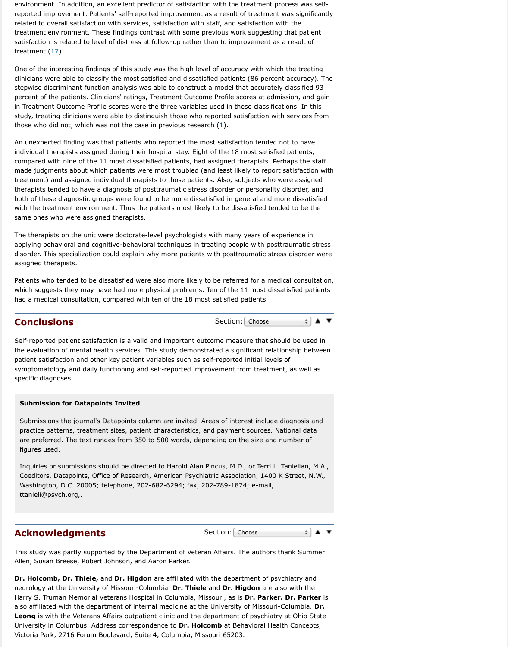The therapists on the unit were doctorate-level psychologists with many years of experience in applying behavioral and cognitive-behavioral techniques in treating people with posttraumatic st disorder. This specialization could explain why more patients with posttraumatic stress disorder  $\alpha$ assigned therapists.

Patients w[ho t](javascript:popRef()ended to be dissatisfied were also more likely to be referred for a medical consultation, which suggests they may have had more physical problems. Ten of the 11 most dissatisfied pation had a medical consultation, compared with ten of the 18 most satisfied patients.

# **Conclusions** Section: Choose

÷.

Self-reported patient satisfaction is a valid and important outcome measure that should be used the evaluation of mental health services. This study demonstrated a significant relationship betw patient satisfaction and other key patient variables such as self-r[ep](javascript:popRef()orted initial levels of symptomatology and daily functioning and self-reported improvement from treatment, as well as specific diagnoses.

## **Submission for Datapoints Invited**

Submissions the journal's Datapoints column are invited. Areas of interest include diagnosis an practice patterns, treatment sites, patient characteristics, and payment sources. National data are preferred. The text ranges from 350 to 500 words, depending on the size and number of figures used.

Inquiries or submissions should be directed to Harold Alan Pincus, M.D., or Terri L. Tanielian, M. Coeditors, Datapoints, Office of Research, American Psychiatric Association, 1400 K Street, N.V. Washington, D.C. 20005; telephone, 202-682-6294; fax, 202-789-1874; e-mail, ttanieli@psych.org,.

# Acknowledgments Section: Choose

÷

This study was partly supported by the Department of Veteran Affairs. The authors thank Summ Allen, Susan Breese, Robert Johnson, and Aaron Parker.

**Dr. Holcomb, Dr. Thiele,** and **Dr. Higdon** are affiliated with the department of psychiatry and neurology at the University of Missouri-Columbia. **Dr. Thiele** and **Dr. Higdon** are also with the Harry S. Truman Memorial Veterans Hospital in Columbia, Missouri, as is **Dr. Parker. Dr. Parke** also affiliated with the department of internal medicine at the University of Missouri-Columbia. **D** Leong is with the Veterans Affairs outpatient clinic and the department of psychiatry at Ohio Sta University in Columbus. Address correspondence to **Dr. Holcomb** at Behavioral Health Concepts, Victoria Park, 2716 Forum Boulevard, Suite 4, Columbia, Missouri 65203.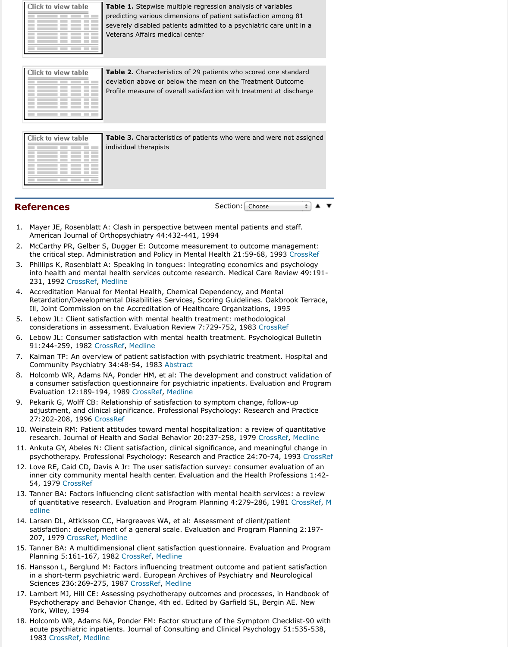- American Journal of Orthopsychiatry 44:432-441, 1994
- 2. [McCarthy PR, Gelber S](http://ps.psychiatryonline.org/doi/full/10.1176/ps.49.7.929#), Dugger E: Outcome measurement to outcome management: the critical step. Administration and Policy in Mental Health 21:59-68, 1993 CrossRef
- 3. Phillips K, Rosenblatt A: Speaking in tongues: integrating economics and psychology into health and mental health services outcome research. Medical Care Review 49:19 231, 1992 CrossRef, Medline
- 4. Accreditation Manual for Mental Health, Chemical Dependency, and Mental Retardation/Developmental Disabilities Services, Scoring Guidelines. Oakbrook Terra [Ill, Joint Commission](http://ps.psychiatryonline.org/doi/full/10.1176/ps.49.7.929#) on the Accreditation of Healthcare Organizations, 1995
- 5. Lebow JL: Client satisfaction with mental health treatment: methodological considerations in assessment. Evaluation Review 7:729-752, 1983 CrossRef
- 6. Lebow JL: Consumer satisfaction with mental health treatment. Psychological Bulletin 91:244-259, 1982 CrossRef, Medline
- 7. Kalman TP: An overview of patient satisfaction with psychiatric treatment. Hospital a Community Psychiatry 34:48-54, 1983 Abstract
- 8. [Holcomb WR, Adams](http://ps.psychiatryonline.org/doi/full/10.1176/ps.49.7.929#) NA, Ponder HM, et al: The development and construct validatio a consumer satisfaction questionnaire for psychiatric inpatients. Evaluation and Prog Evaluation 12:189-194, 1989 CrossRef, Medline
- 9. Pekarik G, Wolff CB: Relationship of satisfaction to symptom change, follow-up adjustment, and clinical significance. Professional Psychology: Research and Practice 27:202-208, 1996 CrossRef
- 10. Weinstein RM: Patient attitudes toward mental hospitalization: a review of quantitati research. Journal of Health and Social Behavior 20:237-258, 1979 CrossRef, Medli[ne](http://ps.psychiatryonline.org/doi/full/10.1176/ps.49.7.929#_i9)
- 11. Ankuta GY, Abeles N: Client satisfaction, clinical significance, and meaningful change psychotherapy. Professional Psychology: Research and Practice 24:70-74, 1993 Cros
- 12. Love RE, Caid CD, Davis A Jr: The user satisfaction survey: consumer evaluation of a inner city community mental health center. Evaluation and the Health Professions 1:4 54, 1979 CrossRef
- 13. Tanner BA: Factors influencing client satisfaction with mental health service[s: a revie](http://ps.psychiatryonline.org/servlet/linkout?suffix=R44971092&dbid=16&doi=10.1176%2Fps.49.7.929&key=10.1007%2FBF00706415) of quantitative research. Evaluation and Program Planning 4:279-286, 1981 CrossRe edline
- 14. Larsen DL, [Attkisson](http://ps.psychiatryonline.org/servlet/linkout?suffix=R44971093&dbid=16&doi=10.1176%2Fps.49.7.929&key=10.1177%2F002570879204900204) [CC, Har](http://ps.psychiatryonline.org/servlet/linkout?suffix=R44971093&dbid=8&doi=10.1176%2Fps.49.7.929&key=10119557)greaves WA, et al: Assessment of client/patient satisfaction: development of a general scale. Evaluation and Program Planning 2:197- 207, 1979 CrossRef, Medline
- 15. Tanner BA: A multidimensional client satisfaction questionnaire. Evaluation and Progr Planning 5:161-167, 1982 CrossRef, Medline
- 16. Hansson L, Berglund M: Factors influencing treatment outcome an[d patient s](http://ps.psychiatryonline.org/servlet/linkout?suffix=R44971095&dbid=16&doi=10.1176%2Fps.49.7.929&key=10.1177%2F0193841X8300700602)atisfacti in a short-term psychiatric w[ard. Euro](http://ps.psychiatryonline.org/servlet/linkout?suffix=R44971096&dbid=8&doi=10.1176%2Fps.49.7.929&key=7071260)pean Archives of Psychiatry and Neurological Sciences 236:269-[275, 198](http://ps.psychiatryonline.org/servlet/linkout?suffix=R44971096&dbid=16&doi=10.1176%2Fps.49.7.929&key=10.1037%2F0033-2909.91.2.244)7 CrossRef, Medline
- 17. Lambert MJ, Hill CE: Assessing psychotherapy outcomes and processes, in Handbook Psychotherapy and Behavior Change, 4[th ed. Ed](http://ps.psychiatryonline.org/doi/10.1176/ps.34.1.48)ited by Garfield SL, Bergin AE. New York, Wiley, 1994
- 18. Holcomb WR, Adams NA, Ponder FM: Factor structure of the Symptom Checklist-90 w acute psychiatric inpatients. J[ournal of](http://ps.psychiatryonline.org/servlet/linkout?suffix=R44971098&dbid=16&doi=10.1176%2Fps.49.7.929&key=10.1016%2F0149-7189%2889%2990010-4) [Consultin](http://ps.psychiatryonline.org/servlet/linkout?suffix=R44971098&dbid=8&doi=10.1176%2Fps.49.7.929&key=10292791)g and Clinical Psychology 51:535-53 1983 CrossRef, Medline